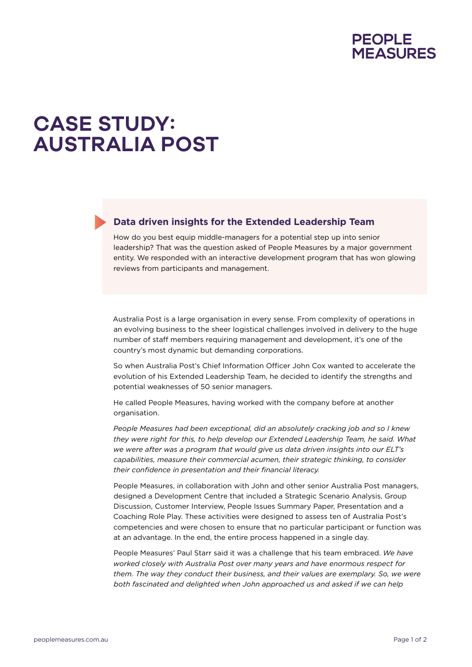

## **CASE STUDY: AUSTRALIA POST**

## **Data driven insights for the Extended Leadership Team**

How do you best equip middle-managers for a potential step up into senior leadership? That was the question asked of People Measures by a major government entity. We responded with an interactive development program that has won glowing reviews from participants and management.

Australia Post is a large organisation in every sense. From complexity of operations in an evolving business to the sheer logistical challenges involved in delivery to the huge number of staff members requiring management and development, it's one of the country's most dynamic but demanding corporations.

So when Australia Post's Chief Information Officer John Cox wanted to accelerate the evolution of his Extended Leadership Team, he decided to identify the strengths and potential weaknesses of 50 senior managers.

He called People Measures, having worked with the company before at another organisation.

*People Measures had been exceptional, did an absolutely cracking job and so I knew they were right for this, to help develop our Extended Leadership Team, he said. What we were after was a program that would give us data driven insights into our ELT's capabilities, measure their commercial acumen, their strategic thinking, to consider their confidence in presentation and their financial literacy.*

People Measures, in collaboration with John and other senior Australia Post managers, designed a Development Centre that included a Strategic Scenario Analysis, Group Discussion, Customer Interview, People Issues Summary Paper, Presentation and a Coaching Role Play. These activities were designed to assess ten of Australia Post's competencies and were chosen to ensure that no particular participant or function was at an advantage. In the end, the entire process happened in a single day.

People Measures' Paul Starr said it was a challenge that his team embraced. *We have worked closely with Australia Post over many years and have enormous respect for them. The way they conduct their business, and their values are exemplary. So, we were both fascinated and delighted when John approached us and asked if we can help*